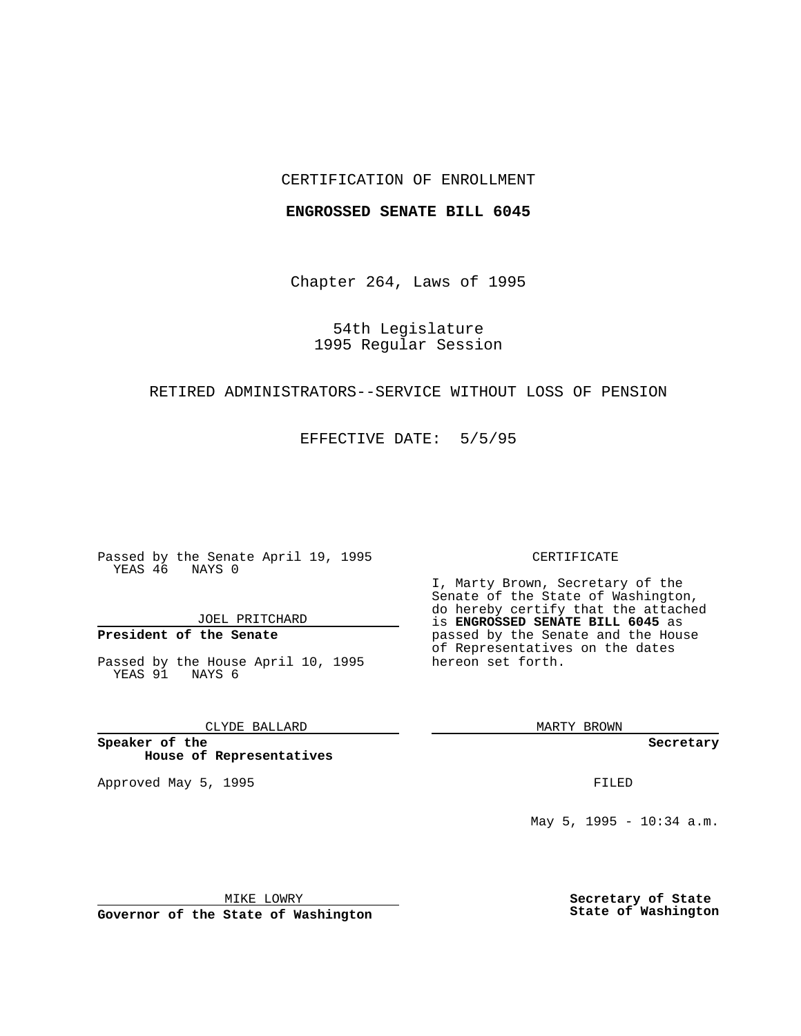## CERTIFICATION OF ENROLLMENT

### **ENGROSSED SENATE BILL 6045**

Chapter 264, Laws of 1995

54th Legislature 1995 Regular Session

## RETIRED ADMINISTRATORS--SERVICE WITHOUT LOSS OF PENSION

EFFECTIVE DATE: 5/5/95

Passed by the Senate April 19, 1995 YEAS 46 NAYS 0

JOEL PRITCHARD

# **President of the Senate**

Passed by the House April 10, 1995 YEAS 91 NAYS 6

CLYDE BALLARD

**Speaker of the House of Representatives**

Approved May 5, 1995 **FILED** 

#### CERTIFICATE

I, Marty Brown, Secretary of the Senate of the State of Washington, do hereby certify that the attached is **ENGROSSED SENATE BILL 6045** as passed by the Senate and the House of Representatives on the dates hereon set forth.

MARTY BROWN

**Secretary**

May 5, 1995 - 10:34 a.m.

MIKE LOWRY

**Governor of the State of Washington**

**Secretary of State State of Washington**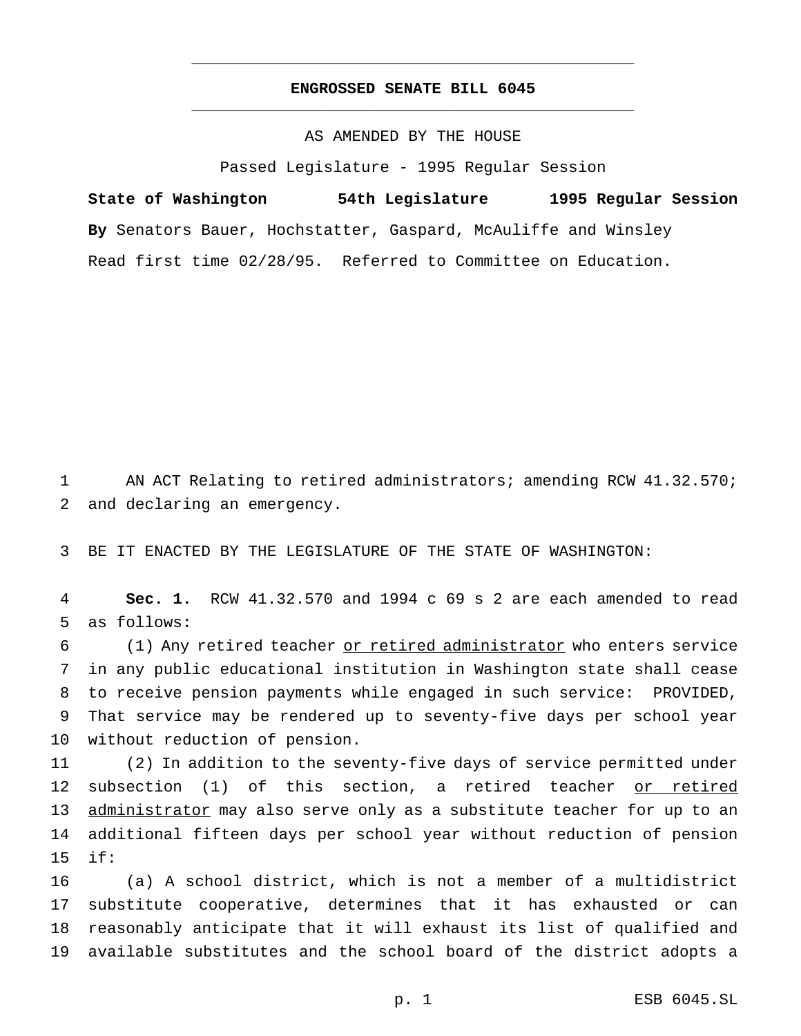## **ENGROSSED SENATE BILL 6045** \_\_\_\_\_\_\_\_\_\_\_\_\_\_\_\_\_\_\_\_\_\_\_\_\_\_\_\_\_\_\_\_\_\_\_\_\_\_\_\_\_\_\_\_\_\_\_

\_\_\_\_\_\_\_\_\_\_\_\_\_\_\_\_\_\_\_\_\_\_\_\_\_\_\_\_\_\_\_\_\_\_\_\_\_\_\_\_\_\_\_\_\_\_\_

AS AMENDED BY THE HOUSE

Passed Legislature - 1995 Regular Session

**State of Washington 54th Legislature 1995 Regular Session By** Senators Bauer, Hochstatter, Gaspard, McAuliffe and Winsley Read first time 02/28/95. Referred to Committee on Education.

 AN ACT Relating to retired administrators; amending RCW 41.32.570; and declaring an emergency.

BE IT ENACTED BY THE LEGISLATURE OF THE STATE OF WASHINGTON:

 **Sec. 1.** RCW 41.32.570 and 1994 c 69 s 2 are each amended to read as follows:

 (1) Any retired teacher or retired administrator who enters service in any public educational institution in Washington state shall cease to receive pension payments while engaged in such service: PROVIDED, That service may be rendered up to seventy-five days per school year without reduction of pension.

 (2) In addition to the seventy-five days of service permitted under subsection (1) of this section, a retired teacher or retired 13 administrator may also serve only as a substitute teacher for up to an additional fifteen days per school year without reduction of pension if:

 (a) A school district, which is not a member of a multidistrict substitute cooperative, determines that it has exhausted or can reasonably anticipate that it will exhaust its list of qualified and available substitutes and the school board of the district adopts a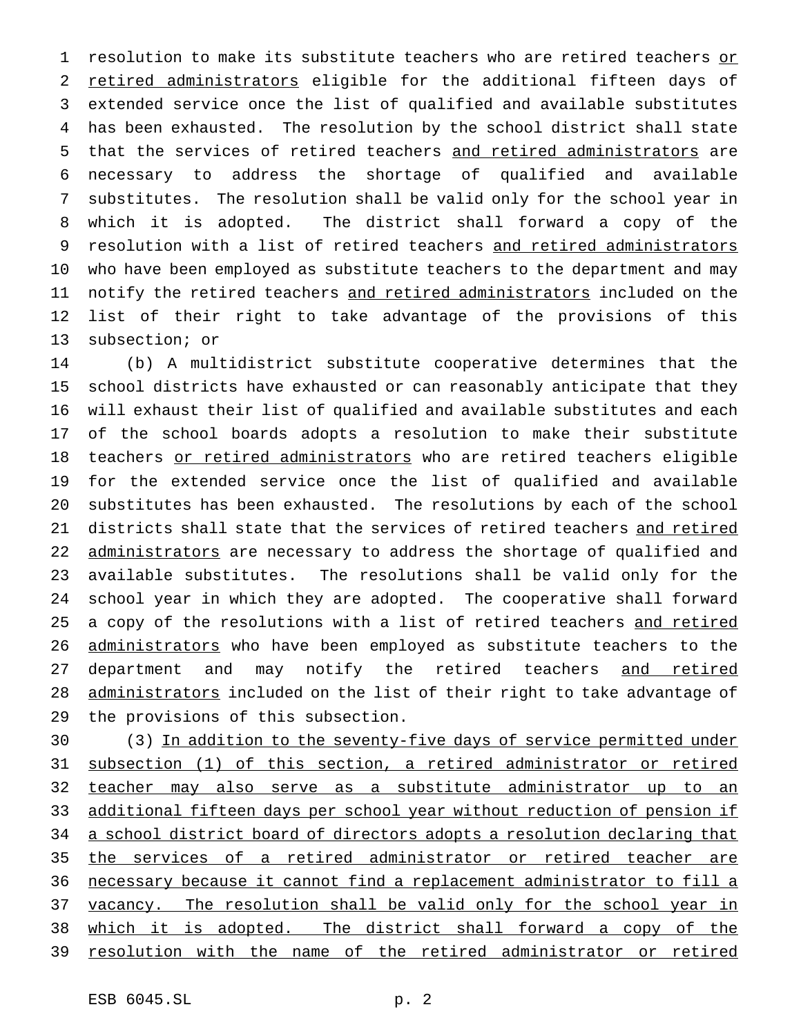1 resolution to make its substitute teachers who are retired teachers or 2 retired administrators eligible for the additional fifteen days of extended service once the list of qualified and available substitutes has been exhausted. The resolution by the school district shall state that the services of retired teachers and retired administrators are necessary to address the shortage of qualified and available substitutes. The resolution shall be valid only for the school year in which it is adopted. The district shall forward a copy of the resolution with a list of retired teachers and retired administrators who have been employed as substitute teachers to the department and may 11 notify the retired teachers and retired administrators included on the list of their right to take advantage of the provisions of this subsection; or

 (b) A multidistrict substitute cooperative determines that the school districts have exhausted or can reasonably anticipate that they will exhaust their list of qualified and available substitutes and each of the school boards adopts a resolution to make their substitute 18 teachers or retired administrators who are retired teachers eligible for the extended service once the list of qualified and available substitutes has been exhausted. The resolutions by each of the school districts shall state that the services of retired teachers and retired 22 administrators are necessary to address the shortage of qualified and available substitutes. The resolutions shall be valid only for the school year in which they are adopted. The cooperative shall forward 25 a copy of the resolutions with a list of retired teachers and retired 26 administrators who have been employed as substitute teachers to the 27 department and may notify the retired teachers and retired 28 administrators included on the list of their right to take advantage of the provisions of this subsection.

30 (3) In addition to the seventy-five days of service permitted under subsection (1) of this section, a retired administrator or retired teacher may also serve as a substitute administrator up to an additional fifteen days per school year without reduction of pension if 34 a school district board of directors adopts a resolution declaring that the services of a retired administrator or retired teacher are necessary because it cannot find a replacement administrator to fill a 37 vacancy. The resolution shall be valid only for the school year in which it is adopted. The district shall forward a copy of the 39 resolution with the name of the retired administrator or retired